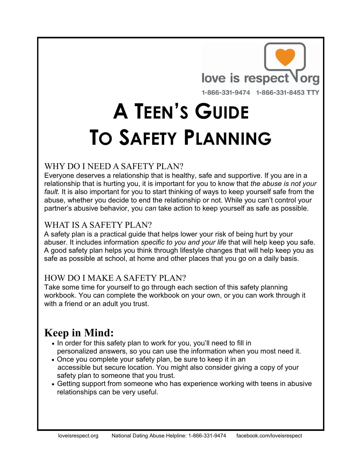

# **A TEEN'S GUIDE TO SAFETY PLANNING**

### WHY DO I NEED A SAFETY PLAN?

Everyone deserves a relationship that is healthy, safe and supportive. If you are in a relationship that is hurting you, it is important for you to know that *the abuse is not your fault.* It is also important for you to start thinking of ways to keep yourself safe from the abuse, whether you decide to end the relationship or not. While you can't control your partner's abusive behavior, you *can* take action to keep yourself as safe as possible.

### WHAT IS A SAFETY PLAN?

A safety plan is a practical guide that helps lower your risk of being hurt by your abuser. It includes information *specific to you and your life* that will help keep you safe. A good safety plan helps you think through lifestyle changes that will help keep you as safe as possible at school, at home and other places that you go on a daily basis.

#### HOW DO I MAKE A SAFETY PLAN?

Take some time for yourself to go through each section of this safety planning workbook. You can complete the workbook on your own, or you can work through it with a friend or an adult you trust.

### **Keep in Mind:**

- In order for this safety plan to work for you, you'll need to fill in personalized answers, so you can use the information when you most need it.
- Once you complete your safety plan, be sure to keep it in an accessible but secure location. You might also consider giving a copy of your safety plan to someone that you trust.
- Getting support from someone who has experience working with teens in abusive relationships can be very useful.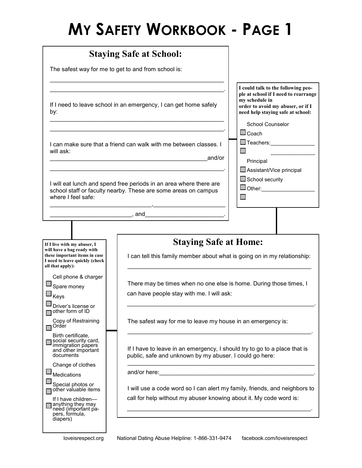# **MY SAFETY WORKBOOK - PAGE 1**

| <b>Staying Safe at School:</b>                                                                                                                             |                                                                                                                                      |                                                                                                                                                                        |
|------------------------------------------------------------------------------------------------------------------------------------------------------------|--------------------------------------------------------------------------------------------------------------------------------------|------------------------------------------------------------------------------------------------------------------------------------------------------------------------|
| The safest way for me to get to and from school is:                                                                                                        |                                                                                                                                      |                                                                                                                                                                        |
| by:                                                                                                                                                        | If I need to leave school in an emergency, I can get home safely                                                                     | I could talk to the following peo-<br>ple at school if I need to rearrange<br>my schedule in<br>order to avoid my abuser, or if I<br>need help staying safe at school: |
| I can make sure that a friend can walk with me between classes. I<br>will ask:<br>and/or                                                                   |                                                                                                                                      | <b>School Counselor</b><br>$\Box$ Coach<br>□ Teachers:________________<br>Principal                                                                                    |
| I will eat lunch and spend free periods in an area where there are<br>school staff or faculty nearby. These are some areas on campus<br>where I feel safe: |                                                                                                                                      | Assistant/Vice principal<br>$\Box$ School security<br>$\square$ Other: ___________________                                                                             |
|                                                                                                                                                            | , and_________________________________                                                                                               |                                                                                                                                                                        |
|                                                                                                                                                            |                                                                                                                                      |                                                                                                                                                                        |
| If I live with my abuser, I<br>will have a bag ready with<br>these important items in case<br>I need to leave quickly (check<br>all that apply):           | <b>Staying Safe at Home:</b><br>I can tell this family member about what is going on in my relationship:                             |                                                                                                                                                                        |
| Cell phone & charger<br>Spare money<br>Keys                                                                                                                | There may be times when no one else is home. During those times, I<br>can have people stay with me. I will ask:                      |                                                                                                                                                                        |
| Driver's license or<br>other form of ID<br>Copy of Restraining<br>Order                                                                                    | The safest way for me to leave my house in an emergency is:                                                                          |                                                                                                                                                                        |
| Birth certificate,<br>social security card,<br>immigration papers<br>and other important<br>documents                                                      | If I have to leave in an emergency, I should try to go to a place that is<br>public, safe and unknown by my abuser. I could go here: |                                                                                                                                                                        |
| Change of clothes<br><b>Medications</b>                                                                                                                    | and/or here: example and a series of the series of the series of the series of the series of the series of the                       |                                                                                                                                                                        |
| Special photos or<br>other valuable items                                                                                                                  | I will use a code word so I can alert my family, friends, and neighbors to                                                           |                                                                                                                                                                        |
| If I have children-<br>anything they may<br>need (important pa-<br>pers, formula,<br>diapers)                                                              | call for help without my abuser knowing about it. My code word is:                                                                   |                                                                                                                                                                        |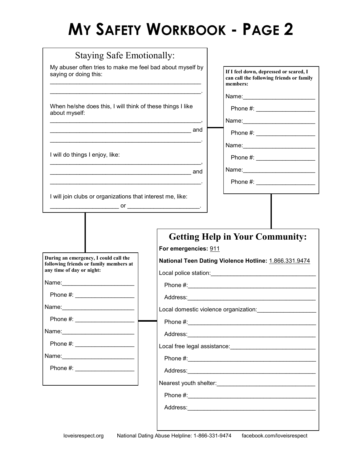# **MY SAFETY WORKBOOK - PAGE 2**

| My abuser often tries to make me feel bad about myself by<br>saying or doing this:                                                                                                                                             |                      | If I feel down, depressed or scared, I<br>can call the following friends or family<br>members:                 |
|--------------------------------------------------------------------------------------------------------------------------------------------------------------------------------------------------------------------------------|----------------------|----------------------------------------------------------------------------------------------------------------|
|                                                                                                                                                                                                                                |                      |                                                                                                                |
| When he/she does this, I will think of these things I like<br>about myself:                                                                                                                                                    |                      | Phone #: ______________________                                                                                |
|                                                                                                                                                                                                                                |                      |                                                                                                                |
|                                                                                                                                                                                                                                |                      | Phone #: ______________________                                                                                |
|                                                                                                                                                                                                                                |                      |                                                                                                                |
| I will do things I enjoy, like:<br><u> 1989 - Johann Stoff, deutscher Stoff, der Stoff, der Stoff, der Stoff, der Stoff, der Stoff, der Stoff, der S</u>                                                                       |                      |                                                                                                                |
|                                                                                                                                                                                                                                |                      |                                                                                                                |
|                                                                                                                                                                                                                                |                      |                                                                                                                |
|                                                                                                                                                                                                                                |                      | <b>Getting Help in Your Community:</b>                                                                         |
| During an emergency, I could call the<br>following friends or family members at<br>any time of day or night:<br>Phone $\#$ : $\qquad \qquad$                                                                                   | For emergencies: 911 | National Teen Dating Violence Hotline: 1.866.331.9474                                                          |
| Name:                                                                                                                                                                                                                          |                      |                                                                                                                |
| Phone #: ______________________                                                                                                                                                                                                |                      |                                                                                                                |
| Name: 2008 2010 2021 2022 2023 2024 2022 2022 2023 2024 2022 2023 2024 2022 2023 2024 2022 2023 2024 2025 2026 2027 2028 2029 2020 2021 2022 2023 2024 2022 2023 2024 2022 2023 2024 2025 2027 2028 2021 2022 2023 2024 2027 2 |                      |                                                                                                                |
|                                                                                                                                                                                                                                |                      |                                                                                                                |
|                                                                                                                                                                                                                                |                      |                                                                                                                |
|                                                                                                                                                                                                                                |                      |                                                                                                                |
|                                                                                                                                                                                                                                |                      | Local domestic violence organization: vertical contract of the set of the set of the set of the set of the set |